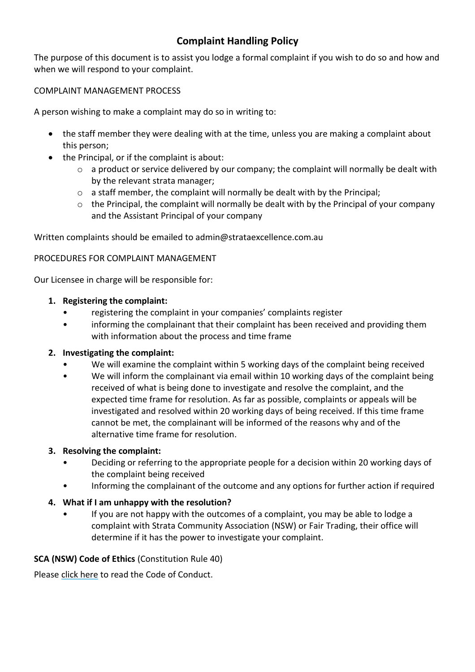# **Complaint Handling Policy**

The purpose of this document is to assist you lodge a formal complaint if you wish to do so and how and when we will respond to your complaint.

## COMPLAINT MANAGEMENT PROCESS

A person wishing to make a complaint may do so in writing to:

- the staff member they were dealing with at the time, unless you are making a complaint about this person;
- the Principal, or if the complaint is about:
	- o a product or service delivered by our company; the complaint will normally be dealt with by the relevant strata manager;
	- $\circ$  a staff member, the complaint will normally be dealt with by the Principal;
	- o the Principal, the complaint will normally be dealt with by the Principal of your company and the Assistant Principal of your company

Written complaints should be emailed to admin@strataexcellence.com.au

### PROCEDURES FOR COMPLAINT MANAGEMENT

Our Licensee in charge will be responsible for:

### **1. Registering the complaint:**

- registering the complaint in your companies' complaints register
- informing the complainant that their complaint has been received and providing them with information about the process and time frame

### **2. Investigating the complaint:**

- We will examine the complaint within 5 working days of the complaint being received
- We will inform the complainant via email within 10 working days of the complaint being received of what is being done to investigate and resolve the complaint, and the expected time frame for resolution. As far as possible, complaints or appeals will be investigated and resolved within 20 working days of being received. If this time frame cannot be met, the complainant will be informed of the reasons why and of the alternative time frame for resolution.

### **3. Resolving the complaint:**

- Deciding or referring to the appropriate people for a decision within 20 working days of the complaint being received
- Informing the complainant of the outcome and any options for further action if required

### **4. What if I am unhappy with the resolution?**

• If you are not happy with the outcomes of a complaint, you may be able to lodge a complaint with Strata Community Association (NSW) or Fair Trading, their office will determine if it has the power to investigate your complaint.

### **SCA (NSW) Code of Ethics** (Constitution Rule 40)

Pleas[e click here](https://nsw.strata.community/code-of-ethics/) to read the Code of Conduct.